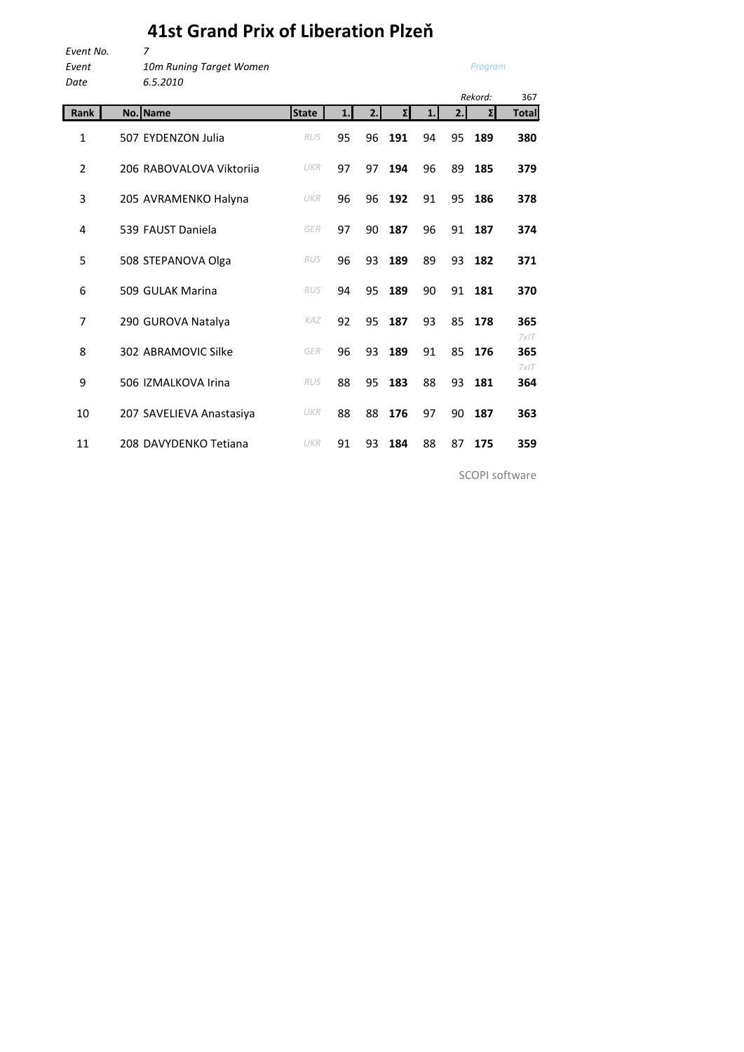## **41st Grand Prix of Liberation Plzeň**

| Event No. | 7                       |
|-----------|-------------------------|
| Event     | 10m Runing Target Women |
| Date      | 6.5.2010                |

*Program*

| ruce           | 0.J.ZUIU                 |              |    |    |     |    |     | Rekord: | 367          |
|----------------|--------------------------|--------------|----|----|-----|----|-----|---------|--------------|
| <b>Rank</b>    | No. Name                 | <b>State</b> | 1. | 2. | Σ   | 1. | 2.1 | Σ       | <b>Total</b> |
| 1              | 507 EYDENZON Julia       | <b>RUS</b>   | 95 | 96 | 191 | 94 | 95  | 189     | 380          |
| $\overline{2}$ | 206 RABOVALOVA Viktorija | UKR          | 97 | 97 | 194 | 96 | 89  | 185     | 379          |
| 3              | 205 AVRAMENKO Halyna     | UKR          | 96 | 96 | 192 | 91 | 95  | 186     | 378          |
| 4              | 539 FAUST Daniela        | GER          | 97 | 90 | 187 | 96 | 91  | 187     | 374          |
| 5              | 508 STEPANOVA Olga       | <b>RUS</b>   | 96 | 93 | 189 | 89 | 93  | 182     | 371          |
| 6              | 509 GULAK Marina         | <b>RUS</b>   | 94 | 95 | 189 | 90 | 91  | 181     | 370          |
| 7              | 290 GUROVA Natalya       | KAZ          | 92 | 95 | 187 | 93 | 85  | 178     | 365<br>7x/T  |
| 8              | 302 ABRAMOVIC Silke      | GER          | 96 | 93 | 189 | 91 | 85  | 176     | 365<br>7x/T  |
| 9              | 506 IZMALKOVA Irina      | <b>RUS</b>   | 88 | 95 | 183 | 88 | 93  | 181     | 364          |
| 10             | 207 SAVELIEVA Anastasiya | UKR          | 88 | 88 | 176 | 97 | 90  | 187     | 363          |
| 11             | 208 DAVYDENKO Tetiana    | UKR          | 91 | 93 | 184 | 88 | 87  | 175     | 359          |

SCOPI software